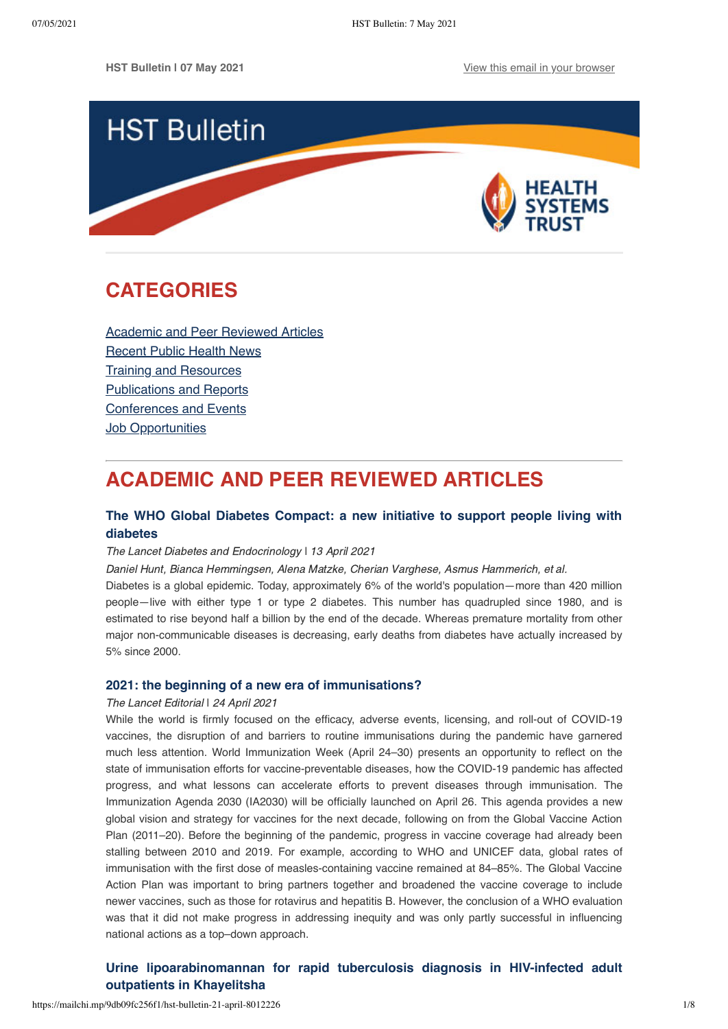

# <span id="page-0-1"></span>**CATEGORIES**

[Academic and Peer Reviewed Articles](#page-0-0) [Recent Public Health News](#page-2-0) Training and Resources [Publications and Reports](#page-5-0) [Conferences and Events](#page-6-0) **[Job Opportunities](#page-7-0)** 

# <span id="page-0-0"></span>**ACADEMIC AND PEER REVIEWED ARTICLES**

## **[The WHO Global Diabetes Compact: a new initiative to support people living with](https://www.thelancet.com/journals/landia/article/PIIS2213-8587(21)00111-X/fulltext) diabetes**

#### The Lancet Diabetes and Endocrinology ǀ 13 April 2021

Daniel Hunt, Bianca Hemmingsen, Alena Matzke, Cherian Varghese, Asmus Hammerich, et al.

Diabetes is a global epidemic. Today, approximately 6% of the world's population—more than 420 million people—live with either type 1 or type 2 diabetes. This number has quadrupled since 1980, and is estimated to rise beyond half a billion by the end of the decade. Whereas premature mortality from other major non-communicable diseases is decreasing, early deaths from diabetes have actually increased by 5% since 2000.

### **[2021: the beginning of a new era of immunisations?](https://www.thelancet.com/journals/lancet/article/PIIS0140-6736(21)00900-4/fulltext)**

#### The Lancet Editorial | 24 April 2021

While the world is firmly focused on the efficacy, adverse events, licensing, and roll-out of COVID-19 vaccines, the disruption of and barriers to routine immunisations during the pandemic have garnered much less attention. World Immunization Week (April 24–30) presents an opportunity to reflect on the state of immunisation efforts for vaccine-preventable diseases, how the COVID-19 pandemic has affected progress, and what lessons can accelerate efforts to prevent diseases through immunisation. The Immunization Agenda 2030 (IA2030) will be officially launched on April 26. This agenda provides a new global vision and strategy for vaccines for the next decade, following on from the Global Vaccine Action Plan (2011–20). Before the beginning of the pandemic, progress in vaccine coverage had already been stalling between 2010 and 2019. For example, according to WHO and UNICEF data, global rates of immunisation with the first dose of measles-containing vaccine remained at 84–85%. The Global Vaccine Action Plan was important to bring partners together and broadened the vaccine coverage to include newer vaccines, such as those for rotavirus and hepatitis B. However, the conclusion of a WHO evaluation was that it did not make progress in addressing inequity and was only partly successful in influencing national actions as a top–down approach.

# **[Urine lipoarabinomannan for rapid tuberculosis diagnosis in HIV-infected adult](https://sajhivmed.org.za/index.php/hivmed/article/view/1226/2397) outpatients in Khayelitsha**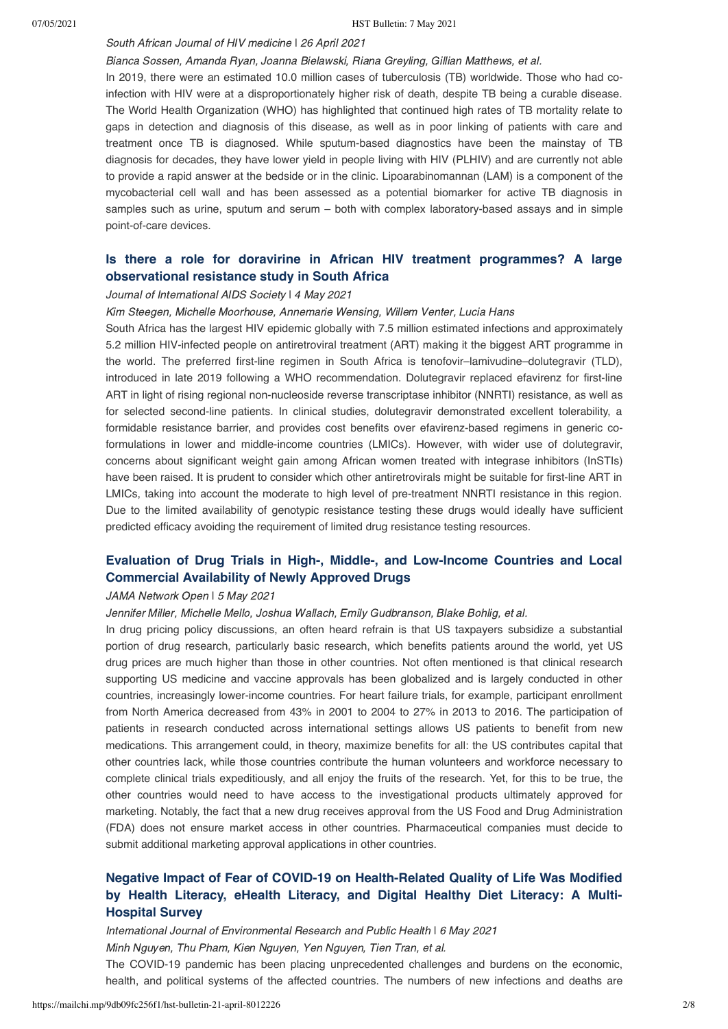## South African Journal of HIV medicine | 26 April 2021

### Bianca Sossen, Amanda Ryan, Joanna Bielawski, Riana Greyling, Gillian Matthews, et al.

In 2019, there were an estimated 10.0 million cases of tuberculosis (TB) worldwide. Those who had coinfection with HIV were at a disproportionately higher risk of death, despite TB being a curable disease. The World Health Organization (WHO) has highlighted that continued high rates of TB mortality relate to gaps in detection and diagnosis of this disease, as well as in poor linking of patients with care and treatment once TB is diagnosed. While sputum-based diagnostics have been the mainstay of TB diagnosis for decades, they have lower yield in people living with HIV (PLHIV) and are currently not able to provide a rapid answer at the bedside or in the clinic. Lipoarabinomannan (LAM) is a component of the mycobacterial cell wall and has been assessed as a potential biomarker for active TB diagnosis in samples such as urine, sputum and serum – both with complex laboratory-based assays and in simple point-of-care devices.

# **[Is there a role for doravirine in African HIV treatment programmes? A large](https://onlinelibrary.wiley.com/doi/full/10.1002/jia2.25706) observational resistance study in South Africa**

#### Journal of International AIDS Society | 4 May 2021

Kim Steegen, Michelle Moorhouse, Annemarie Wensing, Willem Venter, Lucia Hans

South Africa has the largest HIV epidemic globally with 7.5 million estimated infections and approximately 5.2 million HIV‐infected people on antiretroviral treatment (ART) making it the biggest ART programme in the world. The preferred first-line regimen in South Africa is tenofovir–lamivudine–dolutegravir (TLD), introduced in late 2019 following a WHO recommendation. Dolutegravir replaced efavirenz for first-line ART in light of rising regional non‐nucleoside reverse transcriptase inhibitor (NNRTI) resistance, as well as for selected second-line patients. In clinical studies, dolutegravir demonstrated excellent tolerability, a formidable resistance barrier, and provides cost benefits over efavirenz-based regimens in generic coformulations in lower and middle-income countries (LMICs). However, with wider use of dolutegravir, concerns about significant weight gain among African women treated with integrase inhibitors (InSTIs) have been raised. It is prudent to consider which other antiretrovirals might be suitable for first-line ART in LMICs, taking into account the moderate to high level of pre-treatment NNRTI resistance in this region. Due to the limited availability of genotypic resistance testing these drugs would ideally have sufficient predicted efficacy avoiding the requirement of limited drug resistance testing resources.

# **[Evaluation of Drug Trials in High-, Middle-, and Low-Income Countries and](https://jamanetwork.com/journals/jamanetworkopen/fullarticle/2779457) Local Commercial Availability of Newly Approved Drugs**

#### JAMA Network Open I 5 May 2021

Jennifer Miller, Michelle Mello, Joshua Wallach, Emily Gudbranson, Blake Bohlig, et al.

In drug pricing policy discussions, an often heard refrain is that US taxpayers subsidize a substantial portion of drug research, particularly basic research, which benefits patients around the world, yet US drug prices are much higher than those in other countries. Not often mentioned is that clinical research supporting US medicine and vaccine approvals has been globalized and is largely conducted in other countries, increasingly lower-income countries. For heart failure trials, for example, participant enrollment from North America decreased from 43% in 2001 to 2004 to 27% in 2013 to 2016. The participation of patients in research conducted across international settings allows US patients to benefit from new medications. This arrangement could, in theory, maximize benefits for all: the US contributes capital that other countries lack, while those countries contribute the human volunteers and workforce necessary to complete clinical trials expeditiously, and all enjoy the fruits of the research. Yet, for this to be true, the other countries would need to have access to the investigational products ultimately approved for marketing. Notably, the fact that a new drug receives approval from the US Food and Drug Administration (FDA) does not ensure market access in other countries. Pharmaceutical companies must decide to submit additional marketing approval applications in other countries.

# **[Negative Impact of Fear of COVID-19 on Health-Related Quality of Life Was Modified](https://www.mdpi.com/1660-4601/18/9/4929/htm) by Health Literacy, eHealth Literacy, and Digital Healthy Diet Literacy: A Multi-Hospital Survey**

health, and political systems of the affected countries. The numbers of new infections and deaths are

International Journal of Environmental Research and Public Health ǀ 6 May 2021 Minh Nguyen, Thu Pham, Kien Nguyen, Yen Nguyen, Tien Tran, et al. The COVID-19 pandemic has been placing unprecedented challenges and burdens on the economic,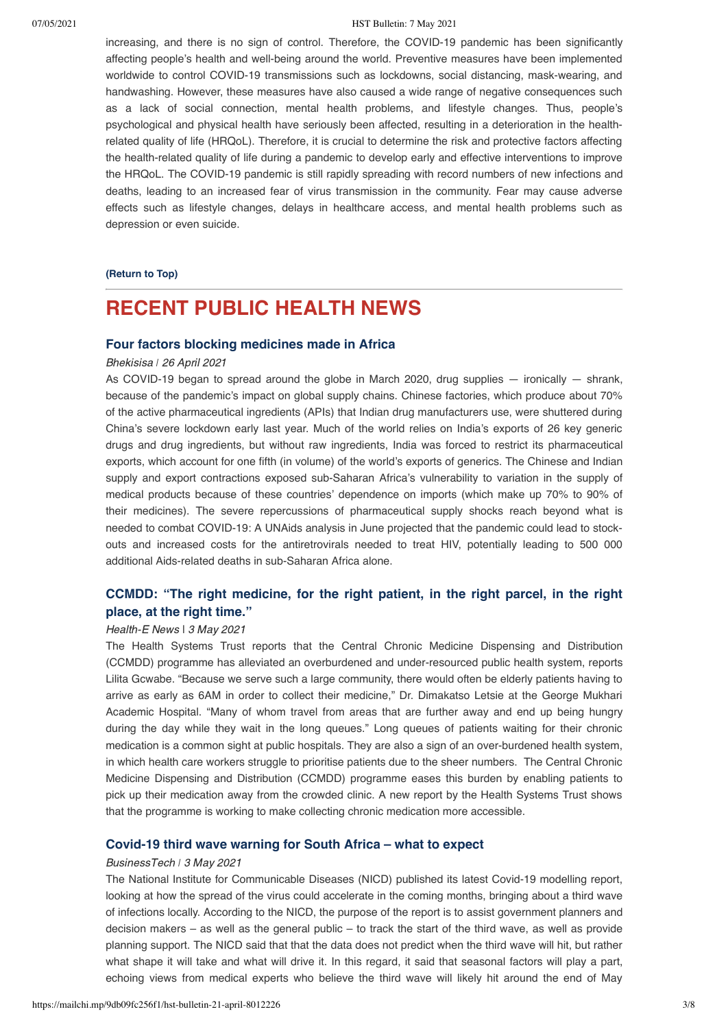#### 07/05/2021 HST Bulletin: 7 May 2021

increasing, and there is no sign of control. Therefore, the COVID-19 pandemic has been significantly affecting people's health and well-being around the world. Preventive measures have been implemented worldwide to control COVID-19 transmissions such as lockdowns, social distancing, mask-wearing, and handwashing. However, these measures have also caused a wide range of negative consequences such as a lack of social connection, mental health problems, and lifestyle changes. Thus, people's psychological and physical health have seriously been affected, resulting in a deterioration in the healthrelated quality of life (HRQoL). Therefore, it is crucial to determine the risk and protective factors affecting the health-related quality of life during a pandemic to develop early and effective interventions to improve the HRQoL. The COVID-19 pandemic is still rapidly spreading with record numbers of new infections and deaths, leading to an increased fear of virus transmission in the community. Fear may cause adverse effects such as lifestyle changes, delays in healthcare access, and mental health problems such as depression or even suicide.

**[\(Return to Top\)](#page-0-1)**

# <span id="page-2-0"></span>**RECENT PUBLIC HEALTH NEWS**

#### **[Four factors blocking medicines made in Africa](https://bhekisisa.org/article/2021-04-26-four-factors-blocking-medicines-made-in-africa/)**

#### Bhekisisa *ǀ* 26 April 2021

As COVID-19 began to spread around the globe in March 2020, drug supplies — ironically — shrank, because of the pandemic's impact on global supply chains. Chinese factories, which produce about 70% of the active pharmaceutical ingredients (APIs) that Indian drug manufacturers use, were shuttered during China's severe lockdown early last year. Much of the world relies on India's exports of 26 key generic drugs and drug ingredients, but without raw ingredients, India was forced to restrict its pharmaceutical exports, which account for one fifth (in volume) of the world's exports of generics. The Chinese and Indian supply and export contractions exposed sub-Saharan Africa's vulnerability to variation in the supply of medical products because of these countries' dependence on imports (which make up 70% to 90% of their medicines). The severe repercussions of pharmaceutical supply shocks reach beyond what is needed to combat COVID-19: A UNAids analysis in June projected that the pandemic could lead to stockouts and increased costs for the antiretrovirals needed to treat HIV, potentially leading to 500 000 additional Aids-related deaths in sub-Saharan Africa alone.

## **CCMDD: "The right [medicine, for the right patient, in the right parcel, in the right](https://health-e.org.za/2021/05/03/central-chronic-medicine-dispensing-and-distribution-ccmdd-programme/) place, at the right time."**

#### Health-E News ǀ 3 May 2021

The Health Systems Trust reports that the Central Chronic Medicine Dispensing and Distribution (CCMDD) programme has alleviated an overburdened and under-resourced public health system, reports Lilita Gcwabe. "Because we serve such a large community, there would often be elderly patients having to arrive as early as 6AM in order to collect their medicine," Dr. Dimakatso Letsie at the George Mukhari Academic Hospital. "Many of whom travel from areas that are further away and end up being hungry during the day while they wait in the long queues." Long queues of patients waiting for their chronic medication is a common sight at public hospitals. They are also a sign of an over-burdened health system, in which health care workers struggle to prioritise patients due to the sheer numbers. The Central Chronic Medicine Dispensing and Distribution (CCMDD) programme eases this burden by enabling patients to pick up their medication away from the crowded clinic. A new report by the Health Systems Trust shows that the programme is working to make collecting chronic medication more accessible.

## **[Covid-19 third wave warning for South Africa – what to expect](https://businesstech.co.za/news/government/487615/covid-19-third-wave-warning-for-south-africa-what-to-expect/)**

#### BusinessTech *ǀ* 3 May 2021

The National Institute for Communicable Diseases (NICD) published its latest Covid-19 modelling report, looking at how the spread of the virus could accelerate in the coming months, bringing about a third wave of infections locally. According to the NICD, the purpose of the report is to assist government planners and decision makers – as well as the general public – to track the start of the third wave, as well as provide planning support. The NICD said that that the data does not predict when the third wave will hit, but rather what shape it will take and what will drive it. In this regard, it said that seasonal factors will play a part, echoing views from medical experts who believe the third wave will likely hit around the end of May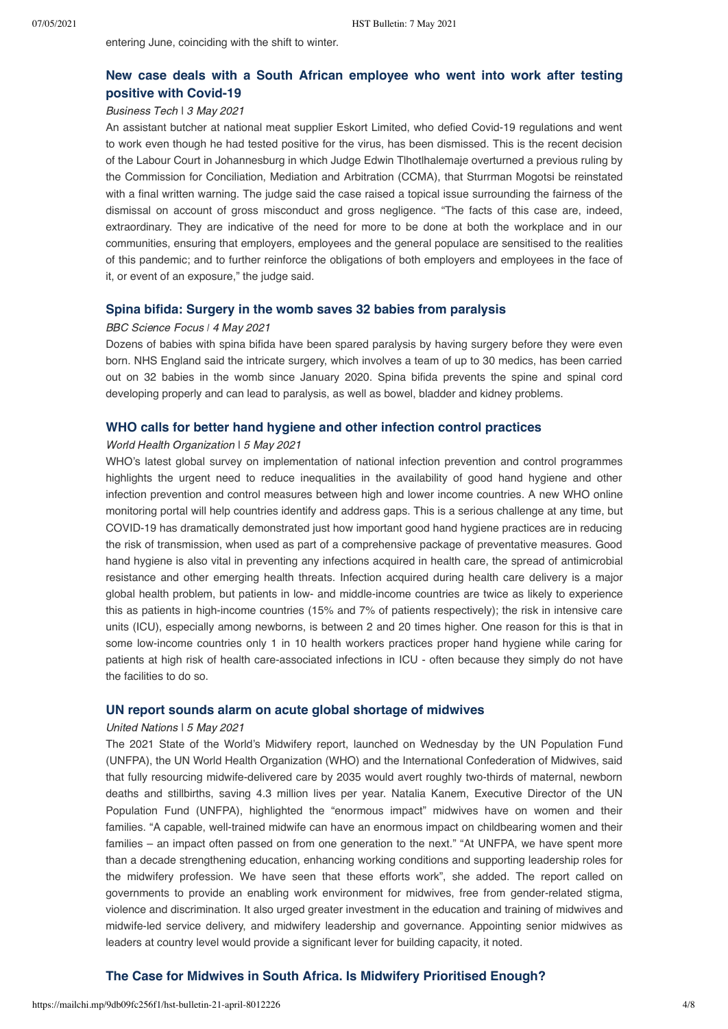entering June, coinciding with the shift to winter.

# **[New case deals with a South African employee who went into work after testing](https://businesstech.co.za/news/business/487655/new-case-deals-with-a-south-african-employee-who-went-into-work-after-testing-positive-with-covid-19/) positive with Covid-19**

## Business Tech ǀ 3 May 2021

An assistant butcher at national meat supplier Eskort Limited, who defied Covid-19 regulations and went to work even though he had tested positive for the virus, has been dismissed. This is the recent decision of the Labour Court in Johannesburg in which Judge Edwin Tlhotlhalemaje overturned a previous ruling by the Commission for Conciliation, Mediation and Arbitration (CCMA), that Sturrman Mogotsi be reinstated with a final written warning. The judge said the case raised a topical issue surrounding the fairness of the dismissal on account of gross misconduct and gross negligence. "The facts of this case are, indeed, extraordinary. They are indicative of the need for more to be done at both the workplace and in our communities, ensuring that employers, employees and the general populace are sensitised to the realities of this pandemic; and to further reinforce the obligations of both employers and employees in the face of it, or event of an exposure," the judge said.

### **[Spina bifida: Surgery in the womb saves 32 babies from paralysis](https://www.sciencefocus.com/news/spina-bifida-surgery-in-the-womb-saves-32-babies-from-paralysis/?utm_source=Adestra&utm_medium=Email&utm_content=FOC2&utm_campaign=Science%20Focus%20Newsletter_916544_Focus_Automated%20Newsletters_18970208&utm_source=Adestra&utm_medium=email&utm_term=&utm_content=&utm_campaign=Science%20Focus%20Newsletter)**

#### BBC Science Focus *ǀ* 4 May 2021

Dozens of babies with spina bifida have been spared paralysis by having surgery before they were even born. NHS England said the intricate surgery, which involves a team of up to 30 medics, has been carried out on 32 babies in the womb since January 2020. Spina bifida prevents the spine and spinal cord developing properly and can lead to paralysis, as well as bowel, bladder and kidney problems.

### **[WHO calls for better hand hygiene and other infection control practices](https://www.who.int/news/item/05-05-2021-who-calls-for-better-hand-hygiene-and-other-infection-control-practices)**

#### World Health Organization ǀ 5 May 2021

WHO's latest global survey on implementation of national infection prevention and control programmes highlights the urgent need to reduce inequalities in the availability of good hand hygiene and other infection prevention and control measures between high and lower income countries. A new WHO online monitoring portal will help countries identify and address gaps. This is a serious challenge at any time, but COVID-19 has dramatically demonstrated just how important good hand hygiene practices are in reducing the risk of transmission, when used as part of a comprehensive package of preventative measures. Good hand hygiene is also vital in preventing any infections acquired in health care, the spread of antimicrobial resistance and other emerging health threats. Infection acquired during health care delivery is a major global health problem, but patients in low- and middle-income countries are twice as likely to experience this as patients in high-income countries (15% and 7% of patients respectively); the risk in intensive care units (ICU), especially among newborns, is between 2 and 20 times higher. One reason for this is that in some low-income countries only 1 in 10 health workers practices proper hand hygiene while caring for patients at high risk of health care-associated infections in ICU - often because they simply do not have the facilities to do so.

### **[UN report sounds alarm on acute global shortage of midwives](https://news.un.org/en/story/2021/05/1091282)**

#### United Nations ǀ 5 May 2021

The 2021 State of the World's Midwifery report, launched on Wednesday by the UN Population Fund (UNFPA), the UN World Health Organization (WHO) and the International Confederation of Midwives, said that fully resourcing midwife-delivered care by 2035 would avert roughly two-thirds of maternal, newborn deaths and stillbirths, saving 4.3 million lives per year. Natalia Kanem, Executive Director of the UN Population Fund (UNFPA), highlighted the "enormous impact" midwives have on women and their families. "A capable, well-trained midwife can have an enormous impact on childbearing women and their families – an impact often passed on from one generation to the next." "At UNFPA, we have spent more than a decade strengthening education, enhancing working conditions and supporting leadership roles for the midwifery profession. We have seen that these efforts work", she added. The report called on governments to provide an enabling work environment for midwives, free from gender-related stigma, violence and discrimination. It also urged greater investment in the education and training of midwives and midwife-led service delivery, and midwifery leadership and governance. Appointing senior midwives as leaders at country level would provide a significant lever for building capacity, it noted.

## **[The Case for Midwives in South Africa. Is Midwifery Prioritised Enough?](https://www.hst.org.za/media/blog/default.aspx)**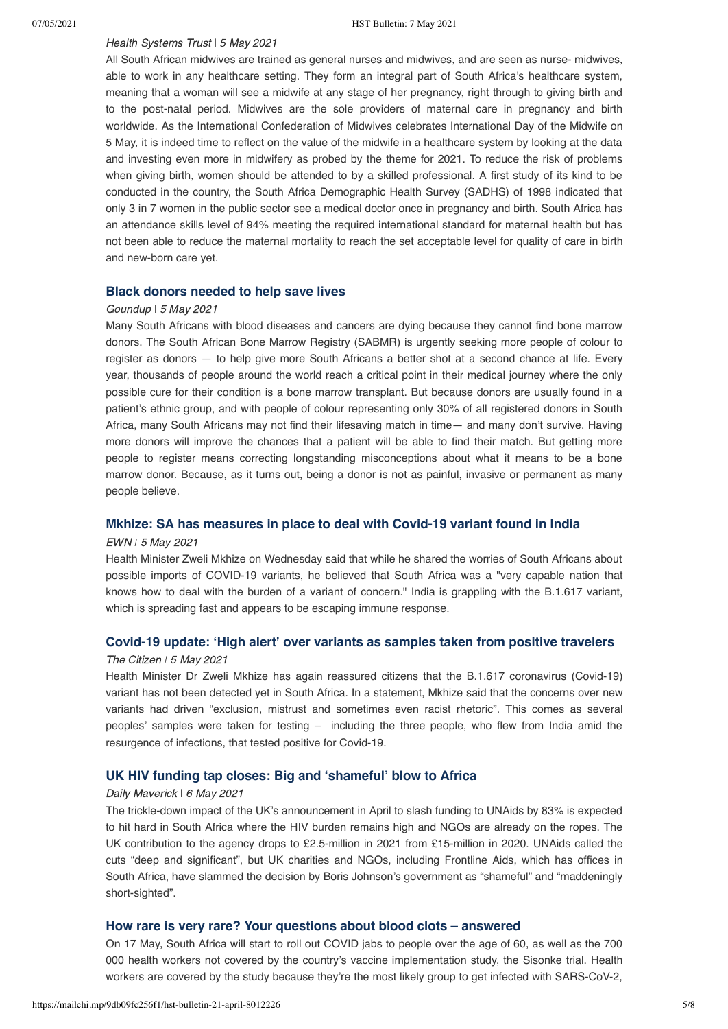#### Health Systems Trust | 5 May 2021

All South African midwives are trained as general nurses and midwives, and are seen as nurse- midwives, able to work in any healthcare setting. They form an integral part of South Africa's healthcare system, meaning that a woman will see a midwife at any stage of her pregnancy, right through to giving birth and to the post-natal period. Midwives are the sole providers of maternal care in pregnancy and birth worldwide. As the International Confederation of Midwives celebrates International Day of the Midwife on 5 May, it is indeed time to reflect on the value of the midwife in a healthcare system by looking at the data and investing even more in midwifery as probed by the theme for 2021. To reduce the risk of problems when giving birth, women should be attended to by a skilled professional. A first study of its kind to be conducted in the country, the South Africa Demographic Health Survey (SADHS) of 1998 indicated that only 3 in 7 women in the public sector see a medical doctor once in pregnancy and birth. South Africa has an attendance skills level of 94% meeting the required international standard for maternal health but has not been able to reduce the maternal mortality to reach the set acceptable level for quality of care in birth and new-born care yet.

#### **[Black donors needed to help save lives](https://www.groundup.org.za/article/black-donors-needed-help-save-lives/)**

#### Goundup ǀ 5 May 2021

Many South Africans with blood diseases and cancers are dying because they cannot find bone marrow donors. The South African Bone Marrow Registry (SABMR) is urgently seeking more people of colour to register as donors — to help give more South Africans a better shot at a second chance at life. Every year, thousands of people around the world reach a critical point in their medical journey where the only possible cure for their condition is a bone marrow transplant. But because donors are usually found in a patient's ethnic group, and with people of colour representing only 30% of all registered donors in South Africa, many South Africans may not find their lifesaving match in time— and many don't survive. Having more donors will improve the chances that a patient will be able to find their match. But getting more people to register means correcting longstanding misconceptions about what it means to be a bone marrow donor. Because, as it turns out, being a donor is not as painful, invasive or permanent as many people believe.

### **[Mkhize: SA has measures in place to deal with Covid-19 variant found in India](https://ewn.co.za/2021/05/05/mkhize-sa-has-measures-in-place-to-deal-with-covid-19-variant-found-in-india)**

#### EWN *ǀ* 5 May 2021

Health Minister Zweli Mkhize on Wednesday said that while he shared the worries of South Africans about possible imports of COVID-19 variants, he believed that South Africa was a "very capable nation that knows how to deal with the burden of a variant of concern." India is grappling with the B.1.617 variant, which is spreading fast and appears to be escaping immune response.

## **[Covid-19 update: 'High alert' over variants as samples taken from positive travelers](https://citizen.co.za/news/covid-19/infection-updates/2484270/covid-19-update-high-alert-over-variants-as-samples-taken-from-positive-travellers/)**

#### The Citizen  $15$  May 2021

Health Minister Dr Zweli Mkhize has again reassured citizens that the B.1.617 coronavirus (Covid-19) variant has not been detected yet in South Africa. In a statement, Mkhize said that the concerns over new variants had driven "exclusion, mistrust and sometimes even racist rhetoric". This comes as several peoples' samples were taken for testing – including the three people, who flew from India amid the resurgence of infections, that tested positive for Covid-19.

## **[UK HIV funding tap closes: Big and 'shameful' blow to Africa](https://www.dailymaverick.co.za/article/2021-05-06-uk-hiv-funding-tap-closes-big-and-shameful-blow-to-africa/)**

#### Daily Maverick | 6 May 2021

The trickle-down impact of the UK's announcement in April to slash funding to UNAids by 83% is expected to hit hard in South Africa where the HIV burden remains high and NGOs are already on the ropes. The UK contribution to the agency drops to £2.5-million in 2021 from £15-million in 2020. UNAids called the cuts "deep and significant", but UK charities and NGOs, including Frontline Aids, which has offices in South Africa, have slammed the decision by Boris Johnson's government as "shameful" and "maddeningly short-sighted".

#### **[How rare is very rare? Your questions about blood clots – answered](https://bhekisisa.org/article/2021-05-07-how-rare-is-very-rare-your-questions-about-blood-clots-answered/?utm_source=Bhekisisa+in+your+inbox&utm_campaign=594a0100e1-Bhekisisa_Newsletter_07May2021&utm_medium=email&utm_term=0_cd2e6e958b-594a0100e1-139508393)**

On 17 May, South Africa will start to roll out COVID jabs to people over the age of 60, as well as the 700 000 health workers not covered by the country's vaccine implementation study, the Sisonke trial. Health workers are covered by the study because they're the most likely group to get infected with SARS-CoV-2,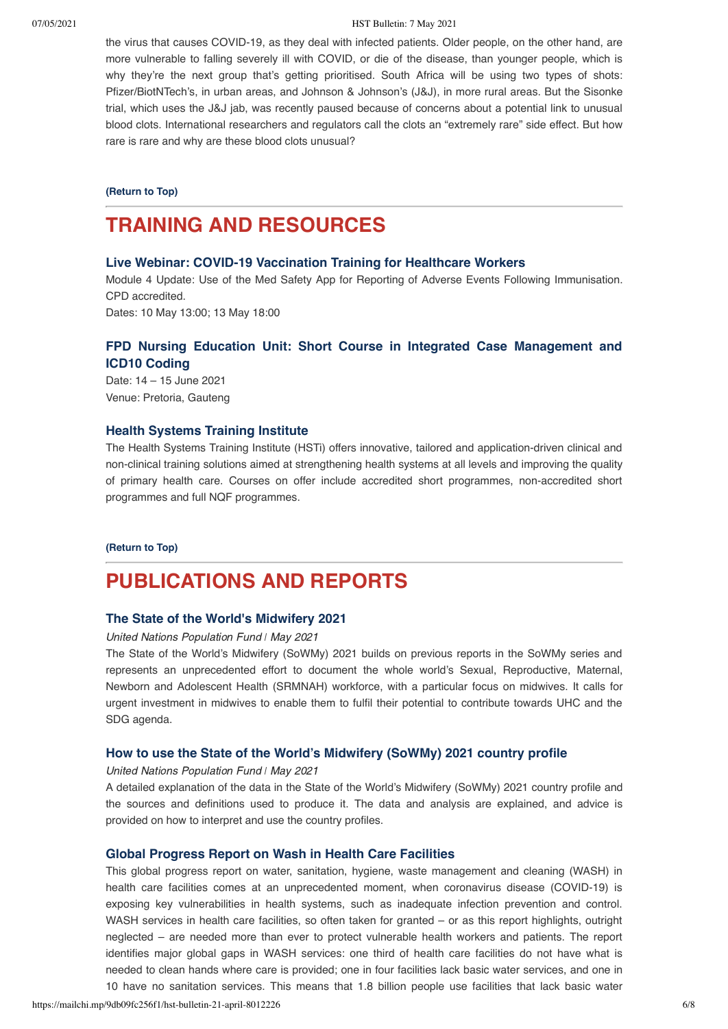#### 07/05/2021 HST Bulletin: 7 May 2021

the virus that causes COVID-19, as they deal with infected patients. Older people, on the other hand, are more vulnerable to falling severely ill with COVID, or die of the disease, than younger people, which is why they're the next group that's getting prioritised. South Africa will be using two types of shots: Pfizer/BiotNTech's, in urban areas, and Johnson & Johnson's (J&J), in more rural areas. But the Sisonke trial, which uses the J&J jab, was recently paused because of concerns about a potential link to unusual blood clots. International researchers and regulators call the clots an "extremely rare" side effect. But how rare is rare and why are these blood clots unusual?

**[\(Return to Top\)](#page-0-1)**

# <span id="page-5-0"></span>**TRAINING AND RESOURCES**

#### **[Live Webinar: COVID-19 Vaccination Training for Healthcare Workers](https://us02web.zoom.us/webinar/register/WN_FPCZq2tSRp6UoMPQC5YXXQ)**

Module 4 Update: Use of the Med Safety App for Reporting of Adverse Events Following Immunisation. CPD accredited.

Dates: 10 May 13:00; 13 May 18:00

## **[FPD Nursing Education Unit: Short Course in Integrated Case Management and](https://www.foundation.co.za/course/396/short-course-in-integrated-case-management-and-icd10-coding) ICD10 Coding**

Date: 14 – 15 June 2021 Venue: Pretoria, Gauteng

#### **[Health Systems Training Institute](https://www.hstinstitute.co.za/Training)**

The Health Systems Training Institute (HSTi) offers innovative, tailored and application-driven clinical and non-clinical training solutions aimed at strengthening health systems at all levels and improving the quality of primary health care. Courses on offer include accredited short programmes, non-accredited short programmes and full NQF programmes.

#### **[\(Return to Top\)](#page-0-1)**

# **PUBLICATIONS AND REPORTS**

### **[The State of the World's Midwifery 2021](https://www.unfpa.org/publications/sowmy-2021)**

United Nations Population Fund *ǀ* May 2021

The State of the World's Midwifery (SoWMy) 2021 builds on previous reports in the SoWMy series and represents an unprecedented effort to document the whole world's Sexual, Reproductive, Maternal, Newborn and Adolescent Health (SRMNAH) workforce, with a particular focus on midwives. It calls for urgent investment in midwives to enable them to fulfil their potential to contribute towards UHC and the SDG agenda.

## **[How to use the State of the World's Midwifery \(SoWMy\) 2021 country profile](https://www.unfpa.org/sowmy-how-to-use-2021-country-profile)**

#### United Nations Population Fund *ǀ* May 2021

A detailed explanation of the data in the State of the World's Midwifery (SoWMy) 2021 country profile and the sources and definitions used to produce it. The data and analysis are explained, and advice is provided on how to interpret and use the country profiles.

## **[Global Progress Report on Wash in Health Care Facilities](https://washdata.org/sites/default/files/2020-12/WHO-UNICEF-2020-wash-in-hcf.pdf)**

This global progress report on water, sanitation, hygiene, waste management and cleaning (WASH) in health care facilities comes at an unprecedented moment, when coronavirus disease (COVID-19) is exposing key vulnerabilities in health systems, such as inadequate infection prevention and control. WASH services in health care facilities, so often taken for granted – or as this report highlights, outright neglected – are needed more than ever to protect vulnerable health workers and patients. The report identifies major global gaps in WASH services: one third of health care facilities do not have what is needed to clean hands where care is provided; one in four facilities lack basic water services, and one in 10 have no sanitation services. This means that 1.8 billion people use facilities that lack basic water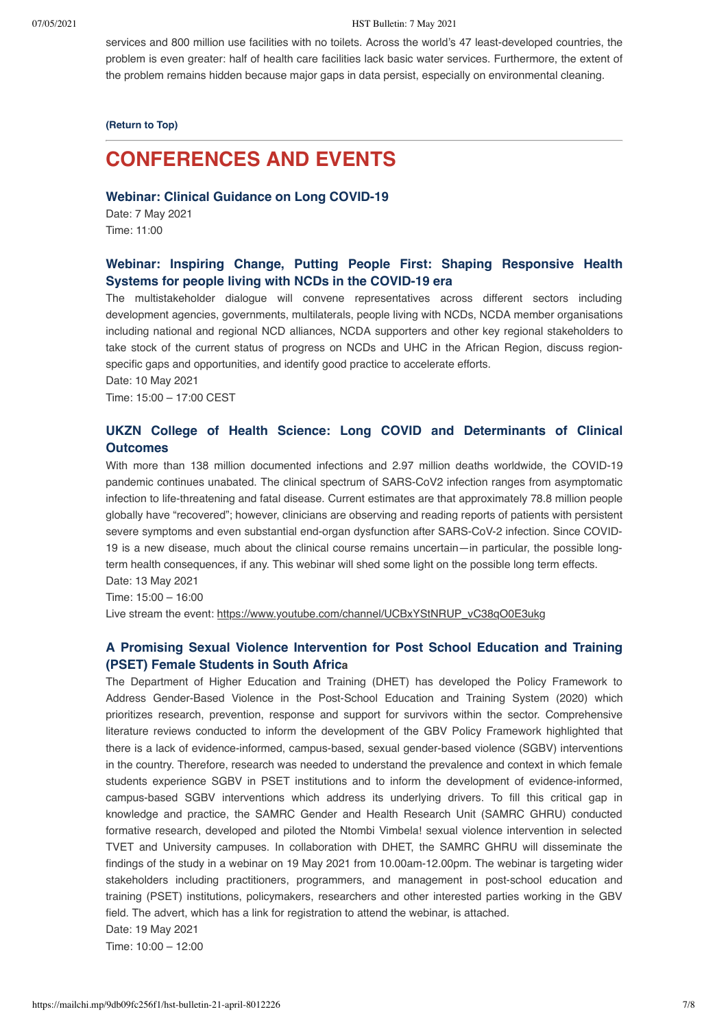services and 800 million use facilities with no toilets. Across the world's 47 least-developed countries, the problem is even greater: half of health care facilities lack basic water services. Furthermore, the extent of the problem remains hidden because major gaps in data persist, especially on environmental cleaning.

**[\(Return to Top\)](#page-0-1)**

# <span id="page-6-0"></span>**CONFERENCES AND EVENTS**

**[Webinar: Clinical Guidance on Long COVID-19](https://us02web.zoom.us/webinar/register/WN_PakcELOpRo6omwfCZZAnjw)**

Date: 7 May 2021 Time: 11:00

# **[Webinar: Inspiring Change, Putting People First: Shaping Responsive Health](http://%20https//zoom.us/webinar/register/WN_5qQ2AqkKScyrf3UUNlXEaw) Systems for people living with NCDs in the COVID-19 era**

The multistakeholder dialogue will convene representatives across different sectors including development agencies, governments, multilaterals, people living with NCDs, NCDA member organisations including national and regional NCD alliances, NCDA supporters and other key regional stakeholders to take stock of the current status of progress on NCDs and UHC in the African Region, discuss regionspecific gaps and opportunities, and identify good practice to accelerate efforts.

Date: 10 May 2021

Time: 15:00 – 17:00 CEST

# **[UKZN College of Health Science: Long COVID and Determinants of Clinical](https://ukzn.zoom.us/webinar/register/WN_ea2ViA0nSQ2v2f9-RSIBnw) Outcomes**

With more than 138 million documented infections and 2.97 million deaths worldwide, the COVID-19 pandemic continues unabated. The clinical spectrum of SARS-CoV2 infection ranges from asymptomatic infection to life-threatening and fatal disease. Current estimates are that approximately 78.8 million people globally have "recovered"; however, clinicians are observing and reading reports of patients with persistent severe symptoms and even substantial end-organ dysfunction after SARS-CoV-2 infection. Since COVID-19 is a new disease, much about the clinical course remains uncertain—in particular, the possible longterm health consequences, if any. This webinar will shed some light on the possible long term effects.

Date: 13 May 2021

Time: 15:00 – 16:00

Live stream the event: https://www.youtube.com/channel/UCBxYStNRUP\_vC38qO0E3ukg

## **[A Promising Sexual Violence Intervention for Post School Education and Training](https://www.samrc.ac.za/calendar/promising-sexual-violence-intervention-post-school-education-and-training-pset-female) (PSET) Female Students in South Africa**

The Department of Higher Education and Training (DHET) has developed the Policy Framework to Address Gender-Based Violence in the Post-School Education and Training System (2020) which prioritizes research, prevention, response and support for survivors within the sector. Comprehensive literature reviews conducted to inform the development of the GBV Policy Framework highlighted that there is a lack of evidence-informed, campus-based, sexual gender-based violence (SGBV) interventions in the country. Therefore, research was needed to understand the prevalence and context in which female students experience SGBV in PSET institutions and to inform the development of evidence-informed, campus-based SGBV interventions which address its underlying drivers. To fill this critical gap in knowledge and practice, the SAMRC Gender and Health Research Unit (SAMRC GHRU) conducted formative research, developed and piloted the Ntombi Vimbela! sexual violence intervention in selected TVET and University campuses. In collaboration with DHET, the SAMRC GHRU will disseminate the findings of the study in a webinar on 19 May 2021 from 10.00am-12.00pm. The webinar is targeting wider stakeholders including practitioners, programmers, and management in post-school education and training (PSET) institutions, policymakers, researchers and other interested parties working in the GBV field. The advert, which has a link for registration to attend the webinar, is attached.

Date: 19 May 2021

Time: 10:00 – 12:00